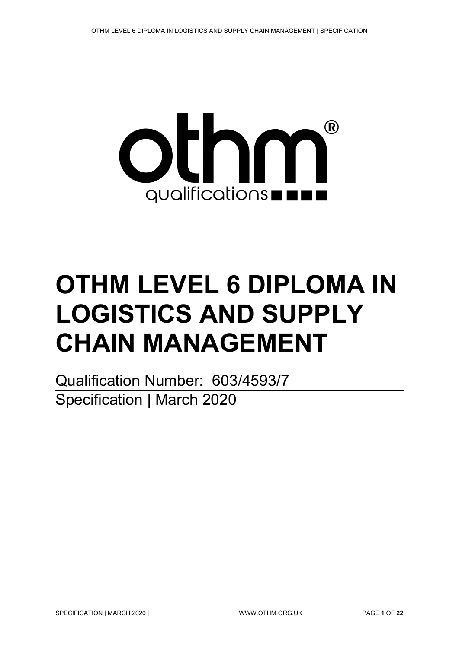

# **OTHM LEVEL 6 DIPLOMA IN LOGISTICS AND SUPPLY CHAIN MANAGEMENT**

Qualification Number: 603/4593/7 Specification | March 2020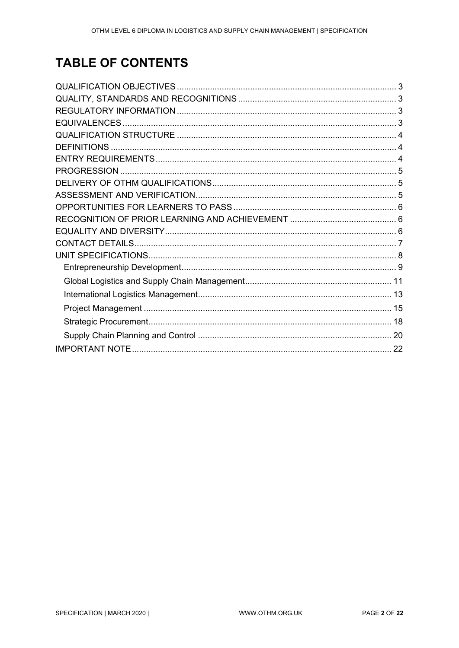# **TABLE OF CONTENTS**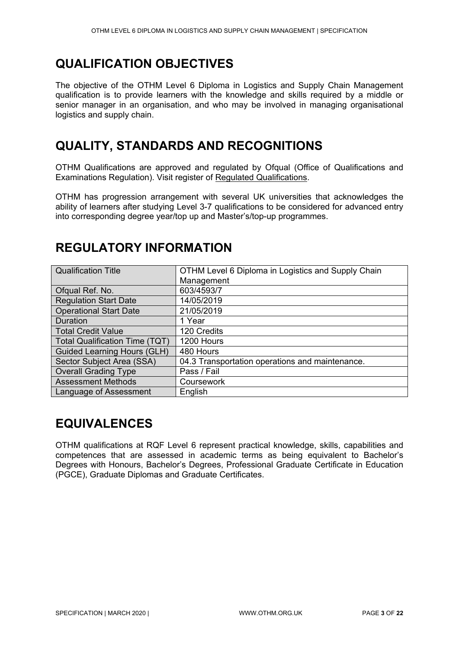# <span id="page-2-0"></span>**QUALIFICATION OBJECTIVES**

The objective of the OTHM Level 6 Diploma in Logistics and Supply Chain Management qualification is to provide learners with the knowledge and skills required by a middle or senior manager in an organisation, and who may be involved in managing organisational logistics and supply chain.

# <span id="page-2-1"></span>**QUALITY, STANDARDS AND RECOGNITIONS**

OTHM Qualifications are approved and regulated by Ofqual (Office of Qualifications and Examinations Regulation). Visit register of [Regulated Qualifications.](http://register.ofqual.gov.uk/)

OTHM has progression arrangement with several UK universities that acknowledges the ability of learners after studying Level 3-7 qualifications to be considered for advanced entry into corresponding degree year/top up and Master's/top-up programmes.

| <b>Qualification Title</b>            | OTHM Level 6 Diploma in Logistics and Supply Chain |
|---------------------------------------|----------------------------------------------------|
|                                       | Management                                         |
| Ofqual Ref. No.                       | 603/4593/7                                         |
| <b>Regulation Start Date</b>          | 14/05/2019                                         |
| <b>Operational Start Date</b>         | 21/05/2019                                         |
| Duration                              | 1 Year                                             |
| <b>Total Credit Value</b>             | 120 Credits                                        |
| <b>Total Qualification Time (TQT)</b> | 1200 Hours                                         |
| <b>Guided Learning Hours (GLH)</b>    | 480 Hours                                          |
| Sector Subject Area (SSA)             | 04.3 Transportation operations and maintenance.    |
| <b>Overall Grading Type</b>           | Pass / Fail                                        |
| <b>Assessment Methods</b>             | Coursework                                         |
| Language of Assessment                | English                                            |

# <span id="page-2-2"></span>**REGULATORY INFORMATION**

# <span id="page-2-3"></span>**EQUIVALENCES**

OTHM qualifications at RQF Level 6 represent practical knowledge, skills, capabilities and competences that are assessed in academic terms as being equivalent to Bachelor's Degrees with Honours, Bachelor's Degrees, Professional Graduate Certificate in Education (PGCE), Graduate Diplomas and Graduate Certificates.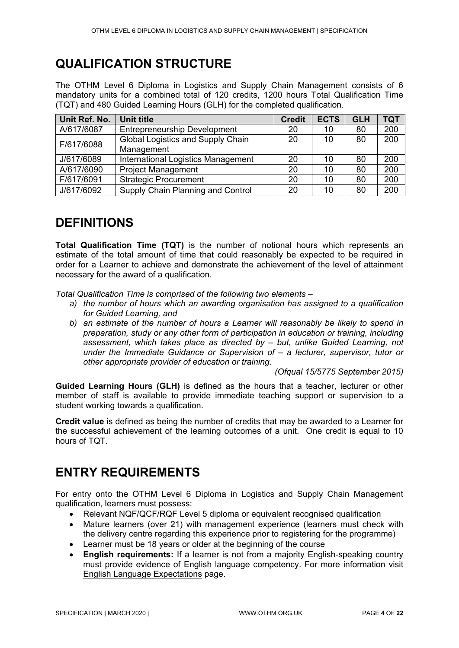# <span id="page-3-0"></span>**QUALIFICATION STRUCTURE**

The OTHM Level 6 Diploma in Logistics and Supply Chain Management consists of 6 mandatory units for a combined total of 120 credits, 1200 hours Total Qualification Time (TQT) and 480 Guided Learning Hours (GLH) for the completed qualification.

| Unit Ref. No. | <b>Unit title</b>                   | <b>Credit</b> | <b>ECTS</b> | <b>GLH</b> | <b>TQT</b> |
|---------------|-------------------------------------|---------------|-------------|------------|------------|
| A/617/6087    | <b>Entrepreneurship Development</b> | 20            | 10          | 80         | 200        |
| F/617/6088    | Global Logistics and Supply Chain   | 20            | 10          | 80         | 200        |
|               | Management                          |               |             |            |            |
| J/617/6089    | International Logistics Management  | 20            | 10          | 80         | 200        |
| A/617/6090    | <b>Project Management</b>           | 20            | 10          | 80         | 200        |
| F/617/6091    | <b>Strategic Procurement</b>        | 20            | 10          | 80         | 200        |
| J/617/6092    | Supply Chain Planning and Control   | 20            | 10          | 80         | 200        |

# <span id="page-3-1"></span>**DEFINITIONS**

**Total Qualification Time (TQT)** is the number of notional hours which represents an estimate of the total amount of time that could reasonably be expected to be required in order for a Learner to achieve and demonstrate the achievement of the level of attainment necessary for the award of a qualification.

*Total Qualification Time is comprised of the following two elements –*

- *a) the number of hours which an awarding organisation has assigned to a qualification for Guided Learning, and*
- *b) an estimate of the number of hours a Learner will reasonably be likely to spend in preparation, study or any other form of participation in education or training, including assessment, which takes place as directed by – but, unlike Guided Learning, not under the Immediate Guidance or Supervision of – a lecturer, supervisor, tutor or other appropriate provider of education or training.*

*(Ofqual 15/5775 September 2015)*

**Guided Learning Hours (GLH)** is defined as the hours that a teacher, lecturer or other member of staff is available to provide immediate teaching support or supervision to a student working towards a qualification.

**Credit value** is defined as being the number of credits that may be awarded to a Learner for the successful achievement of the learning outcomes of a unit. One credit is equal to 10 hours of TQT.

# <span id="page-3-2"></span>**ENTRY REQUIREMENTS**

For entry onto the OTHM Level 6 Diploma in Logistics and Supply Chain Management qualification, learners must possess:

- Relevant NQF/QCF/RQF Level 5 diploma or equivalent recognised qualification
- Mature learners (over 21) with management experience (learners must check with the delivery centre regarding this experience prior to registering for the programme)
- Learner must be 18 years or older at the beginning of the course
- **English requirements:** If a learner is not from a majority English-speaking country must provide evidence of English language competency. For more information visit [English Language Expectations](http://othm.org.uk/english-language.html) page.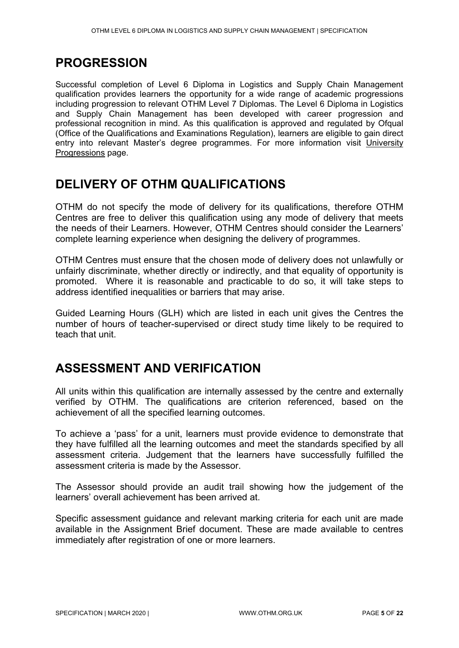# <span id="page-4-0"></span>**PROGRESSION**

Successful completion of Level 6 Diploma in Logistics and Supply Chain Management qualification provides learners the opportunity for a wide range of academic progressions including progression to relevant OTHM Level 7 Diplomas. The Level 6 Diploma in Logistics and Supply Chain Management has been developed with career progression and professional recognition in mind. As this qualification is approved and regulated by Ofqual (Office of the Qualifications and Examinations Regulation), learners are eligible to gain direct entry into relevant Master's degree programmes. For more information visit [University](https://www.othm.org.uk/university-progression.html)  [Progressions](https://www.othm.org.uk/university-progression.html) page.

# <span id="page-4-1"></span>**DELIVERY OF OTHM QUALIFICATIONS**

OTHM do not specify the mode of delivery for its qualifications, therefore OTHM Centres are free to deliver this qualification using any mode of delivery that meets the needs of their Learners. However, OTHM Centres should consider the Learners' complete learning experience when designing the delivery of programmes.

OTHM Centres must ensure that the chosen mode of delivery does not unlawfully or unfairly discriminate, whether directly or indirectly, and that equality of opportunity is promoted. Where it is reasonable and practicable to do so, it will take steps to address identified inequalities or barriers that may arise.

Guided Learning Hours (GLH) which are listed in each unit gives the Centres the number of hours of teacher-supervised or direct study time likely to be required to teach that unit.

# <span id="page-4-2"></span>**ASSESSMENT AND VERIFICATION**

All units within this qualification are internally assessed by the centre and externally verified by OTHM. The qualifications are criterion referenced, based on the achievement of all the specified learning outcomes.

To achieve a 'pass' for a unit, learners must provide evidence to demonstrate that they have fulfilled all the learning outcomes and meet the standards specified by all assessment criteria. Judgement that the learners have successfully fulfilled the assessment criteria is made by the Assessor.

The Assessor should provide an audit trail showing how the judgement of the learners' overall achievement has been arrived at.

Specific assessment guidance and relevant marking criteria for each unit are made available in the Assignment Brief document. These are made available to centres immediately after registration of one or more learners.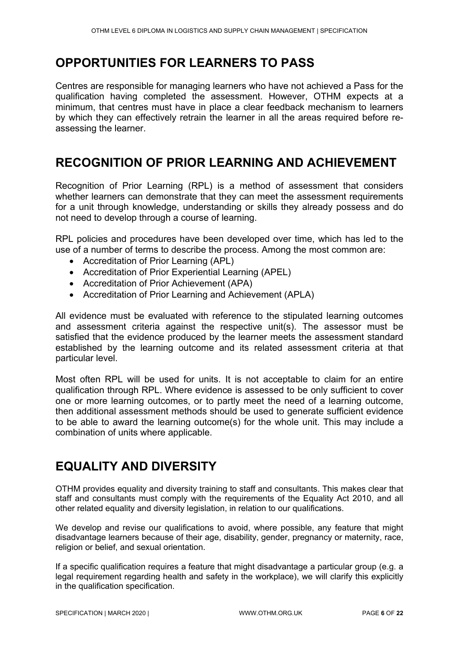# <span id="page-5-0"></span>**OPPORTUNITIES FOR LEARNERS TO PASS**

Centres are responsible for managing learners who have not achieved a Pass for the qualification having completed the assessment. However, OTHM expects at a minimum, that centres must have in place a clear feedback mechanism to learners by which they can effectively retrain the learner in all the areas required before reassessing the learner.

# <span id="page-5-1"></span>**RECOGNITION OF PRIOR LEARNING AND ACHIEVEMENT**

Recognition of Prior Learning (RPL) is a method of assessment that considers whether learners can demonstrate that they can meet the assessment requirements for a unit through knowledge, understanding or skills they already possess and do not need to develop through a course of learning.

RPL policies and procedures have been developed over time, which has led to the use of a number of terms to describe the process. Among the most common are:

- Accreditation of Prior Learning (APL)
- Accreditation of Prior Experiential Learning (APEL)
- Accreditation of Prior Achievement (APA)
- Accreditation of Prior Learning and Achievement (APLA)

All evidence must be evaluated with reference to the stipulated learning outcomes and assessment criteria against the respective unit(s). The assessor must be satisfied that the evidence produced by the learner meets the assessment standard established by the learning outcome and its related assessment criteria at that particular level.

Most often RPL will be used for units. It is not acceptable to claim for an entire qualification through RPL. Where evidence is assessed to be only sufficient to cover one or more learning outcomes, or to partly meet the need of a learning outcome, then additional assessment methods should be used to generate sufficient evidence to be able to award the learning outcome(s) for the whole unit. This may include a combination of units where applicable.

# <span id="page-5-2"></span>**EQUALITY AND DIVERSITY**

OTHM provides equality and diversity training to staff and consultants. This makes clear that staff and consultants must comply with the requirements of the Equality Act 2010, and all other related equality and diversity legislation, in relation to our qualifications.

We develop and revise our qualifications to avoid, where possible, any feature that might disadvantage learners because of their age, disability, gender, pregnancy or maternity, race, religion or belief, and sexual orientation.

If a specific qualification requires a feature that might disadvantage a particular group (e.g. a legal requirement regarding health and safety in the workplace), we will clarify this explicitly in the qualification specification.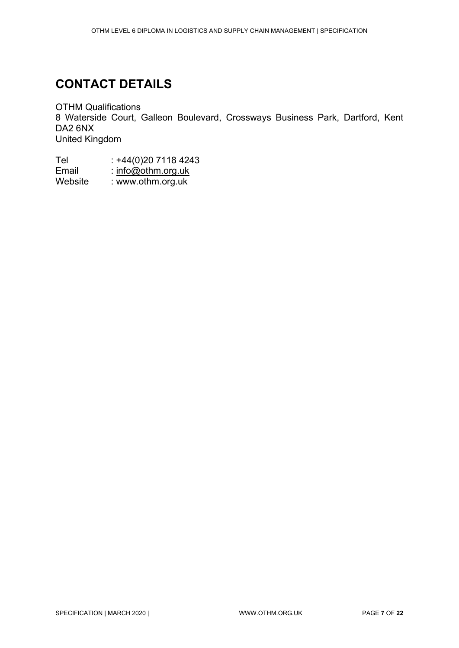# <span id="page-6-0"></span>**CONTACT DETAILS**

OTHM Qualifications 8 Waterside Court, Galleon Boulevard, Crossways Business Park, Dartford, Kent DA2 6NX United Kingdom

| Tel     | $: +44(0)2071184243$ |
|---------|----------------------|
| Email   | : $info@othm.org.uk$ |
| Website | : www.othm.org.uk    |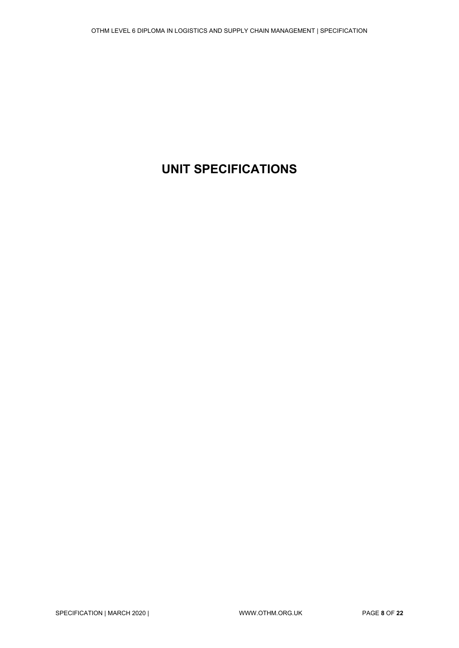# <span id="page-7-0"></span>**UNIT SPECIFICATIONS**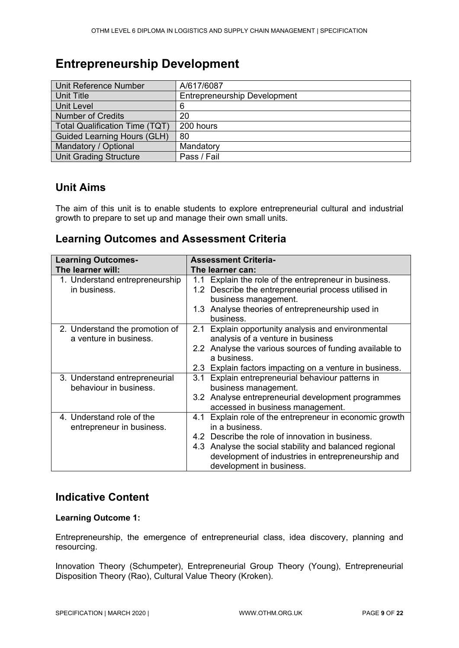# <span id="page-8-0"></span>**Entrepreneurship Development**

| Unit Reference Number                 | A/617/6087                          |
|---------------------------------------|-------------------------------------|
| Unit Title                            | <b>Entrepreneurship Development</b> |
| Unit Level                            | 6                                   |
| <b>Number of Credits</b>              | 20                                  |
| <b>Total Qualification Time (TQT)</b> | 200 hours                           |
| <b>Guided Learning Hours (GLH)</b>    | 80                                  |
| Mandatory / Optional                  | Mandatory                           |
| <b>Unit Grading Structure</b>         | Pass / Fail                         |

### **Unit Aims**

The aim of this unit is to enable students to explore entrepreneurial cultural and industrial growth to prepare to set up and manage their own small units.

### **Learning Outcomes and Assessment Criteria**

| <b>Learning Outcomes-</b><br>The learner will:           | <b>Assessment Criteria-</b><br>The learner can:                                                                                                                                                                                                                          |
|----------------------------------------------------------|--------------------------------------------------------------------------------------------------------------------------------------------------------------------------------------------------------------------------------------------------------------------------|
| 1. Understand entrepreneurship<br>in business.           | 1.1 Explain the role of the entrepreneur in business.<br>1.2 Describe the entrepreneurial process utilised in<br>business management.<br>1.3 Analyse theories of entrepreneurship used in<br>business.                                                                   |
| 2. Understand the promotion of<br>a venture in business. | 2.1 Explain opportunity analysis and environmental<br>analysis of a venture in business<br>2.2 Analyse the various sources of funding available to<br>a business.<br>2.3 Explain factors impacting on a venture in business.                                             |
| 3. Understand entrepreneurial<br>behaviour in business.  | 3.1 Explain entrepreneurial behaviour patterns in<br>business management.<br>3.2 Analyse entrepreneurial development programmes<br>accessed in business management.                                                                                                      |
| 4. Understand role of the<br>entrepreneur in business.   | 4.1 Explain role of the entrepreneur in economic growth<br>in a business.<br>4.2 Describe the role of innovation in business.<br>4.3 Analyse the social stability and balanced regional<br>development of industries in entrepreneurship and<br>development in business. |

### **Indicative Content**

#### **Learning Outcome 1:**

Entrepreneurship, the emergence of entrepreneurial class, idea discovery, planning and resourcing.

Innovation Theory (Schumpeter), Entrepreneurial Group Theory (Young), Entrepreneurial Disposition Theory (Rao), Cultural Value Theory (Kroken).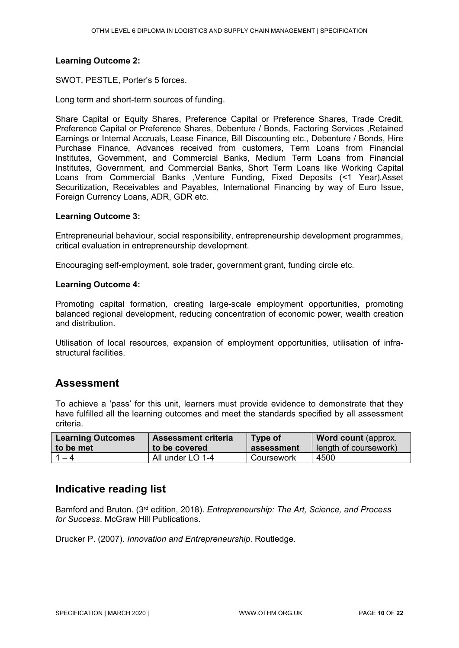#### **Learning Outcome 2:**

SWOT, PESTLE, Porter's 5 forces.

Long term and short-term sources of funding.

Share Capital or Equity Shares, Preference Capital or Preference Shares, Trade Credit, Preference Capital or Preference Shares, Debenture / Bonds, Factoring Services ,Retained Earnings or Internal Accruals, Lease Finance, Bill Discounting etc., Debenture / Bonds, Hire Purchase Finance, Advances received from customers, Term Loans from Financial Institutes, Government, and Commercial Banks, Medium Term Loans from Financial Institutes, Government, and Commercial Banks, Short Term Loans like Working Capital Loans from Commercial Banks ,Venture Funding, Fixed Deposits (<1 Year),Asset Securitization, Receivables and Payables, International Financing by way of Euro Issue, Foreign Currency Loans, ADR, GDR etc.

#### **Learning Outcome 3:**

Entrepreneurial behaviour, social responsibility, entrepreneurship development programmes, critical evaluation in entrepreneurship development.

Encouraging self-employment, sole trader, government grant, funding circle etc.

#### **Learning Outcome 4:**

Promoting capital formation, creating large-scale employment opportunities, promoting balanced regional development, reducing concentration of economic power, wealth creation and distribution.

Utilisation of local resources, expansion of employment opportunities, utilisation of infrastructural facilities.

#### **Assessment**

To achieve a 'pass' for this unit, learners must provide evidence to demonstrate that they have fulfilled all the learning outcomes and meet the standards specified by all assessment criteria.

| <b>Learning Outcomes</b> | <b>Assessment criteria</b> | Type of    | <b>Word count (approx.</b> |
|--------------------------|----------------------------|------------|----------------------------|
| to be met                | to be covered              | assessment | length of coursework)      |
| 1 — 4                    | All under LO 1-4           | Coursework | 4500                       |

### **Indicative reading list**

Bamford and Bruton. (3rd edition, 2018). *Entrepreneurship: The Art, Science, and Process for Success*. McGraw Hill Publications.

Drucker P. (2007). *Innovation and Entrepreneurship*. Routledge.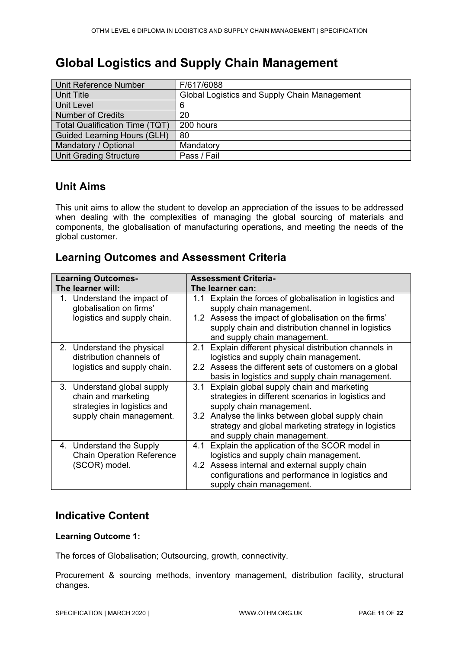# <span id="page-10-0"></span>**Global Logistics and Supply Chain Management**

| Unit Reference Number                 | F/617/6088                                   |
|---------------------------------------|----------------------------------------------|
| Unit Title                            | Global Logistics and Supply Chain Management |
| Unit Level                            | 6                                            |
| <b>Number of Credits</b>              | 20                                           |
| <b>Total Qualification Time (TQT)</b> | 200 hours                                    |
| <b>Guided Learning Hours (GLH)</b>    | 80                                           |
| Mandatory / Optional                  | Mandatory                                    |
| <b>Unit Grading Structure</b>         | Pass / Fail                                  |

### **Unit Aims**

This unit aims to allow the student to develop an appreciation of the issues to be addressed when dealing with the complexities of managing the global sourcing of materials and components, the globalisation of manufacturing operations, and meeting the needs of the global customer.

### **Learning Outcomes and Assessment Criteria**

| <b>Learning Outcomes-</b>                                                                                     | <b>Assessment Criteria-</b>                                                                                                                                                                                                                                                    |  |  |
|---------------------------------------------------------------------------------------------------------------|--------------------------------------------------------------------------------------------------------------------------------------------------------------------------------------------------------------------------------------------------------------------------------|--|--|
| The learner will:                                                                                             | The learner can:                                                                                                                                                                                                                                                               |  |  |
| 1. Understand the impact of<br>globalisation on firms'<br>logistics and supply chain.                         | Explain the forces of globalisation in logistics and<br>1.1<br>supply chain management.<br>1.2 Assess the impact of globalisation on the firms'<br>supply chain and distribution channel in logistics<br>and supply chain management.                                          |  |  |
| 2. Understand the physical<br>distribution channels of<br>logistics and supply chain.                         | Explain different physical distribution channels in<br>2.1<br>logistics and supply chain management.<br>2.2 Assess the different sets of customers on a global<br>basis in logistics and supply chain management.                                                              |  |  |
| 3. Understand global supply<br>chain and marketing<br>strategies in logistics and<br>supply chain management. | Explain global supply chain and marketing<br>3.1<br>strategies in different scenarios in logistics and<br>supply chain management.<br>3.2 Analyse the links between global supply chain<br>strategy and global marketing strategy in logistics<br>and supply chain management. |  |  |
| 4. Understand the Supply<br><b>Chain Operation Reference</b><br>(SCOR) model.                                 | Explain the application of the SCOR model in<br>4.1<br>logistics and supply chain management.<br>4.2 Assess internal and external supply chain<br>configurations and performance in logistics and<br>supply chain management.                                                  |  |  |

### **Indicative Content**

#### **Learning Outcome 1:**

The forces of Globalisation; Outsourcing, growth, connectivity.

Procurement & sourcing methods, inventory management, distribution facility, structural changes.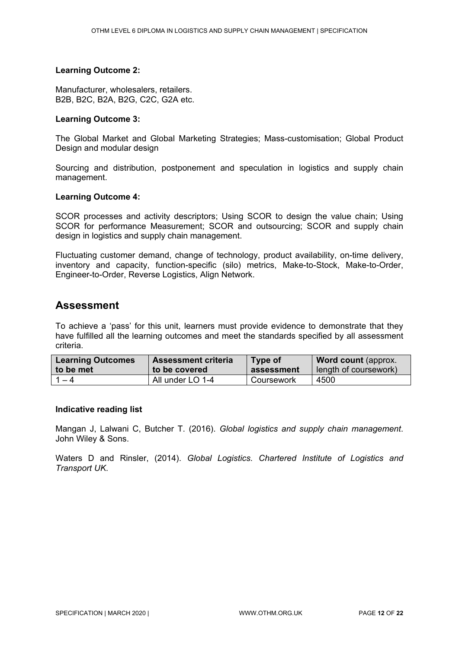#### **Learning Outcome 2:**

Manufacturer, wholesalers, retailers. B2B, B2C, B2A, B2G, C2C, G2A etc.

#### **Learning Outcome 3:**

The Global Market and Global Marketing Strategies; Mass-customisation; Global Product Design and modular design

Sourcing and distribution, postponement and speculation in logistics and supply chain management.

#### **Learning Outcome 4:**

SCOR processes and activity descriptors; Using SCOR to design the value chain; Using SCOR for performance Measurement; SCOR and outsourcing; SCOR and supply chain design in logistics and supply chain management.

Fluctuating customer demand, change of technology, product availability, on-time delivery, inventory and capacity, function-specific (silo) metrics, Make-to-Stock, Make-to-Order, Engineer-to-Order, Reverse Logistics, Align Network.

#### **Assessment**

To achieve a 'pass' for this unit, learners must provide evidence to demonstrate that they have fulfilled all the learning outcomes and meet the standards specified by all assessment criteria.

| <b>Learning Outcomes</b> | <b>Assessment criteria</b> | Type of    | <b>Word count (approx.</b> |
|--------------------------|----------------------------|------------|----------------------------|
| to be met                | to be covered              | assessment | length of coursework)      |
| 1 — 4                    | All under LO 1-4           | Coursework | 4500                       |

#### **Indicative reading list**

Mangan J, Lalwani C, Butcher T. (2016). *Global logistics and supply chain management*. John Wiley & Sons.

Waters D and Rinsler, (2014). *Global Logistics. Chartered Institute of Logistics and Transport UK*.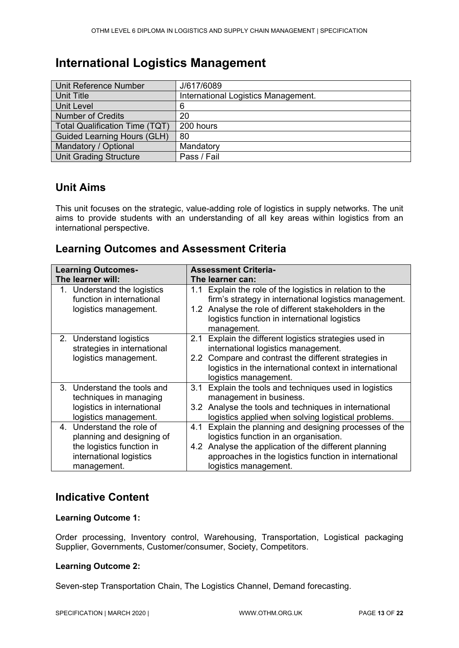# <span id="page-12-0"></span>**International Logistics Management**

| Unit Reference Number                 | J/617/6089                          |
|---------------------------------------|-------------------------------------|
| Unit Title                            | International Logistics Management. |
| Unit Level                            | 6                                   |
| <b>Number of Credits</b>              | 20                                  |
| <b>Total Qualification Time (TQT)</b> | 200 hours                           |
| <b>Guided Learning Hours (GLH)</b>    | 80                                  |
| Mandatory / Optional                  | Mandatory                           |
| <b>Unit Grading Structure</b>         | Pass / Fail                         |

### **Unit Aims**

This unit focuses on the strategic, value-adding role of logistics in supply networks. The unit aims to provide students with an understanding of all key areas within logistics from an international perspective.

### **Learning Outcomes and Assessment Criteria**

| <b>Learning Outcomes-</b>                                                                                                     | <b>Assessment Criteria-</b>                                                                                                                                                                                                                                  |  |  |
|-------------------------------------------------------------------------------------------------------------------------------|--------------------------------------------------------------------------------------------------------------------------------------------------------------------------------------------------------------------------------------------------------------|--|--|
| The learner will:                                                                                                             | The learner can:                                                                                                                                                                                                                                             |  |  |
| 1. Understand the logistics<br>function in international<br>logistics management.                                             | Explain the role of the logistics in relation to the<br>1.1<br>firm's strategy in international logistics management.<br>1.2 Analyse the role of different stakeholders in the<br>logistics function in international logistics<br>management.               |  |  |
| 2. Understand logistics<br>strategies in international<br>logistics management.                                               | Explain the different logistics strategies used in<br>2.1<br>international logistics management.<br>Compare and contrast the different strategies in<br>$2.2\phantom{0}$<br>logistics in the international context in international<br>logistics management. |  |  |
| 3. Understand the tools and<br>techniques in managing<br>logistics in international<br>logistics management.                  | Explain the tools and techniques used in logistics<br>3.1<br>management in business.<br>Analyse the tools and techniques in international<br>3.2<br>logistics applied when solving logistical problems.                                                      |  |  |
| 4. Understand the role of<br>planning and designing of<br>the logistics function in<br>international logistics<br>management. | Explain the planning and designing processes of the<br>4.1<br>logistics function in an organisation.<br>Analyse the application of the different planning<br>4.2<br>approaches in the logistics function in international<br>logistics management.           |  |  |

### **Indicative Content**

#### **Learning Outcome 1:**

Order processing, Inventory control, Warehousing, Transportation, Logistical packaging Supplier, Governments, Customer/consumer, Society, Competitors.

#### **Learning Outcome 2:**

Seven-step Transportation Chain, The Logistics Channel, Demand forecasting.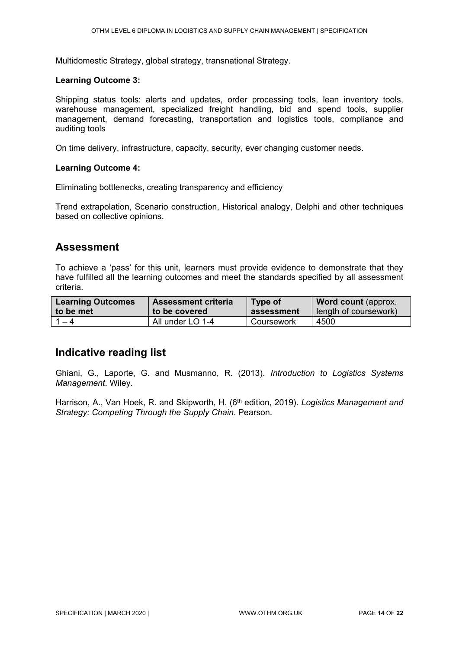Multidomestic Strategy, global strategy, transnational Strategy.

#### **Learning Outcome 3:**

Shipping status tools: alerts and updates, order processing tools, lean inventory tools, warehouse management, specialized freight handling, bid and spend tools, supplier management, demand forecasting, transportation and logistics tools, compliance and auditing tools

On time delivery, infrastructure, capacity, security, ever changing customer needs.

#### **Learning Outcome 4:**

Eliminating bottlenecks, creating transparency and efficiency

Trend extrapolation, Scenario construction, Historical analogy, Delphi and other techniques based on collective opinions.

### **Assessment**

To achieve a 'pass' for this unit, learners must provide evidence to demonstrate that they have fulfilled all the learning outcomes and meet the standards specified by all assessment criteria.

| <b>Learning Outcomes</b> | <b>Assessment criteria</b> | Type of    | <b>Word count (approx.</b> |
|--------------------------|----------------------------|------------|----------------------------|
| to be met                | to be covered              | assessment | length of coursework)      |
| $1 - 4$                  | All under LO 1-4           | Coursework | 4500                       |

### **Indicative reading list**

Ghiani, G., Laporte, G. and Musmanno, R. (2013). *Introduction to Logistics Systems Management*. Wiley.

Harrison, A., Van Hoek, R. and Skipworth, H. (6<sup>th</sup> edition, 2019). *Logistics Management and Strategy: Competing Through the Supply Chain*. Pearson.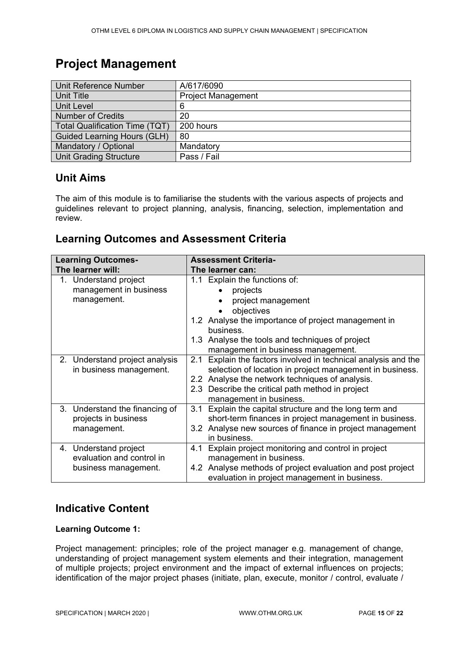# <span id="page-14-0"></span>**Project Management**

| Unit Reference Number                 | A/617/6090                |
|---------------------------------------|---------------------------|
| Unit Title                            | <b>Project Management</b> |
| <b>Unit Level</b>                     | 6                         |
| <b>Number of Credits</b>              | 20                        |
| <b>Total Qualification Time (TQT)</b> | 200 hours                 |
| <b>Guided Learning Hours (GLH)</b>    | 80                        |
| Mandatory / Optional                  | Mandatory                 |
| <b>Unit Grading Structure</b>         | Pass / Fail               |

### **Unit Aims**

The aim of this module is to familiarise the students with the various aspects of projects and guidelines relevant to project planning, analysis, financing, selection, implementation and review.

### **Learning Outcomes and Assessment Criteria**

| <b>Learning Outcomes-</b>      | <b>Assessment Criteria-</b>                                       |
|--------------------------------|-------------------------------------------------------------------|
| The learner will:              | The learner can:                                                  |
| 1. Understand project          | 1.1 Explain the functions of:                                     |
| management in business         | projects                                                          |
| management.                    | project management<br>$\bullet$                                   |
|                                | objectives                                                        |
|                                | 1.2 Analyse the importance of project management in               |
|                                | business.                                                         |
|                                | 1.3 Analyse the tools and techniques of project                   |
|                                | management in business management.                                |
| 2. Understand project analysis | Explain the factors involved in technical analysis and the<br>2.1 |
| in business management.        | selection of location in project management in business.          |
|                                | 2.2 Analyse the network techniques of analysis.                   |
|                                | 2.3 Describe the critical path method in project                  |
|                                | management in business.                                           |
| 3. Understand the financing of | Explain the capital structure and the long term and<br>3.1        |
| projects in business           | short-term finances in project management in business.            |
| management.                    | 3.2 Analyse new sources of finance in project management          |
|                                | in business.                                                      |
| 4. Understand project          | Explain project monitoring and control in project<br>4.1          |
| evaluation and control in      | management in business.                                           |
| business management.           | 4.2 Analyse methods of project evaluation and post project        |
|                                | evaluation in project management in business.                     |

## **Indicative Content**

#### **Learning Outcome 1:**

Project management: principles; role of the project manager e.g. management of change, understanding of project management system elements and their integration, management of multiple projects; project environment and the impact of external influences on projects; identification of the major project phases (initiate, plan, execute, monitor / control, evaluate /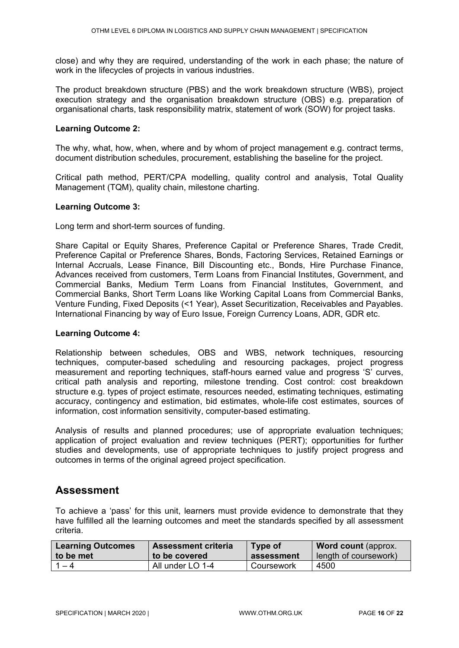close) and why they are required, understanding of the work in each phase; the nature of work in the lifecycles of projects in various industries.

The product breakdown structure (PBS) and the work breakdown structure (WBS), project execution strategy and the organisation breakdown structure (OBS) e.g. preparation of organisational charts, task responsibility matrix, statement of work (SOW) for project tasks.

#### **Learning Outcome 2:**

The why, what, how, when, where and by whom of project management e.g. contract terms, document distribution schedules, procurement, establishing the baseline for the project.

Critical path method, PERT/CPA modelling, quality control and analysis, Total Quality Management (TQM), quality chain, milestone charting.

#### **Learning Outcome 3:**

Long term and short-term sources of funding.

Share Capital or Equity Shares, Preference Capital or Preference Shares, Trade Credit, Preference Capital or Preference Shares, Bonds, Factoring Services, Retained Earnings or Internal Accruals, Lease Finance, Bill Discounting etc., Bonds, Hire Purchase Finance, Advances received from customers, Term Loans from Financial Institutes, Government, and Commercial Banks, Medium Term Loans from Financial Institutes, Government, and Commercial Banks, Short Term Loans like Working Capital Loans from Commercial Banks, Venture Funding, Fixed Deposits (<1 Year), Asset Securitization, Receivables and Payables. International Financing by way of Euro Issue, Foreign Currency Loans, ADR, GDR etc.

#### **Learning Outcome 4:**

Relationship between schedules, OBS and WBS, network techniques, resourcing techniques, computer-based scheduling and resourcing packages, project progress measurement and reporting techniques, staff-hours earned value and progress 'S' curves, critical path analysis and reporting, milestone trending. Cost control: cost breakdown structure e.g. types of project estimate, resources needed, estimating techniques, estimating accuracy, contingency and estimation, bid estimates, whole-life cost estimates, sources of information, cost information sensitivity, computer-based estimating.

Analysis of results and planned procedures; use of appropriate evaluation techniques; application of project evaluation and review techniques (PERT); opportunities for further studies and developments, use of appropriate techniques to justify project progress and outcomes in terms of the original agreed project specification.

#### **Assessment**

To achieve a 'pass' for this unit, learners must provide evidence to demonstrate that they have fulfilled all the learning outcomes and meet the standards specified by all assessment criteria.

| <b>Learning Outcomes</b> | <b>Assessment criteria</b> | Type of    | <b>Word count (approx.</b> |
|--------------------------|----------------------------|------------|----------------------------|
| to be met                | to be covered              | assessment | length of coursework)      |
| - 4                      | All under LO 1-4           | Coursework | 4500                       |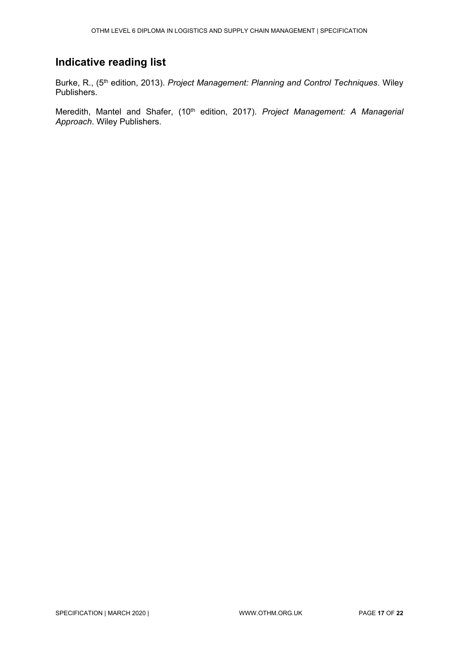## **Indicative reading list**

Burke, R., (5th edition, 2013). *Project Management: Planning and Control Techniques*. Wiley Publishers.

Meredith, Mantel and Shafer, (10<sup>th</sup> edition, 2017). *Project Management: A Managerial Approach*. Wiley Publishers.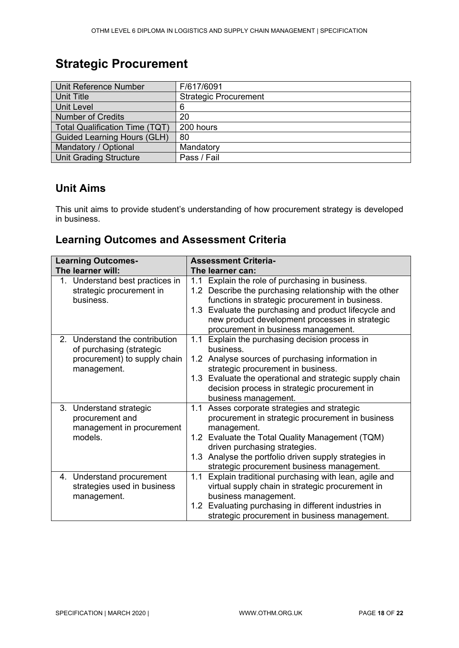# <span id="page-17-0"></span>**Strategic Procurement**

| Unit Reference Number                 | F/617/6091                   |
|---------------------------------------|------------------------------|
| Unit Title                            | <b>Strategic Procurement</b> |
| Unit Level                            | 6                            |
| <b>Number of Credits</b>              | 20                           |
| <b>Total Qualification Time (TQT)</b> | 200 hours                    |
| <b>Guided Learning Hours (GLH)</b>    | 80                           |
| Mandatory / Optional                  | Mandatory                    |
| <b>Unit Grading Structure</b>         | Pass / Fail                  |

# **Unit Aims**

This unit aims to provide student's understanding of how procurement strategy is developed in business.

### **Learning Outcomes and Assessment Criteria**

| <b>Learning Outcomes-</b>       | <b>Assessment Criteria-</b>                                     |  |  |
|---------------------------------|-----------------------------------------------------------------|--|--|
| The learner will:               | The learner can:                                                |  |  |
| 1. Understand best practices in | Explain the role of purchasing in business.<br>1.1              |  |  |
| strategic procurement in        | 1.2 Describe the purchasing relationship with the other         |  |  |
| business.                       | functions in strategic procurement in business.                 |  |  |
|                                 | 1.3 Evaluate the purchasing and product lifecycle and           |  |  |
|                                 | new product development processes in strategic                  |  |  |
|                                 | procurement in business management.                             |  |  |
| 2. Understand the contribution  | Explain the purchasing decision process in<br>1.1               |  |  |
| of purchasing (strategic        | business.                                                       |  |  |
| procurement) to supply chain    | 1.2 Analyse sources of purchasing information in                |  |  |
| management.                     | strategic procurement in business.                              |  |  |
|                                 | 1.3 Evaluate the operational and strategic supply chain         |  |  |
|                                 | decision process in strategic procurement in                    |  |  |
|                                 | business management.                                            |  |  |
| 3. Understand strategic         | Asses corporate strategies and strategic<br>1.1                 |  |  |
| procurement and                 | procurement in strategic procurement in business                |  |  |
| management in procurement       | management.                                                     |  |  |
| models.                         | Evaluate the Total Quality Management (TQM)<br>1.2 <sub>1</sub> |  |  |
|                                 | driven purchasing strategies.                                   |  |  |
|                                 | 1.3 Analyse the portfolio driven supply strategies in           |  |  |
|                                 | strategic procurement business management.                      |  |  |
| 4. Understand procurement       | Explain traditional purchasing with lean, agile and<br>1.1      |  |  |
| strategies used in business     | virtual supply chain in strategic procurement in                |  |  |
| management.                     | business management.                                            |  |  |
|                                 | 1.2 Evaluating purchasing in different industries in            |  |  |
|                                 | strategic procurement in business management.                   |  |  |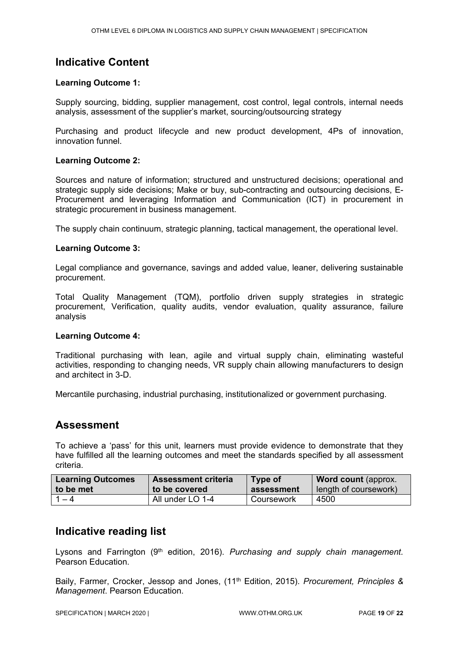### **Indicative Content**

#### **Learning Outcome 1:**

Supply sourcing, bidding, supplier management, cost control, legal controls, internal needs analysis, assessment of the supplier's market, sourcing/outsourcing strategy

Purchasing and product lifecycle and new product development, 4Ps of innovation, innovation funnel.

#### **Learning Outcome 2:**

Sources and nature of information; structured and unstructured decisions; operational and strategic supply side decisions; Make or buy, sub-contracting and outsourcing decisions, E-Procurement and leveraging Information and Communication (ICT) in procurement in strategic procurement in business management.

The supply chain continuum, strategic planning, tactical management, the operational level.

#### **Learning Outcome 3:**

Legal compliance and governance, savings and added value, leaner, delivering sustainable procurement.

Total Quality Management (TQM), portfolio driven supply strategies in strategic procurement, Verification, quality audits, vendor evaluation, quality assurance, failure analysis

#### **Learning Outcome 4:**

Traditional purchasing with lean, agile and virtual supply chain, eliminating wasteful activities, responding to changing needs, VR supply chain allowing manufacturers to design and architect in 3-D.

Mercantile purchasing, industrial purchasing, institutionalized or government purchasing.

### **Assessment**

To achieve a 'pass' for this unit, learners must provide evidence to demonstrate that they have fulfilled all the learning outcomes and meet the standards specified by all assessment criteria.

| <b>Learning Outcomes</b> | <b>Assessment criteria</b> | Type of    | <b>Word count (approx.</b> |
|--------------------------|----------------------------|------------|----------------------------|
| to be met                | to be covered              | assessment | length of coursework)      |
| $1 - 4$                  | All under LO 1-4           | Coursework | 4500                       |

### **Indicative reading list**

Lysons and Farrington (9<sup>th</sup> edition, 2016). *Purchasing and supply chain management.* Pearson Education.

Baily, Farmer, Crocker, Jessop and Jones, (11th Edition, 2015). *Procurement, Principles & Management*. Pearson Education.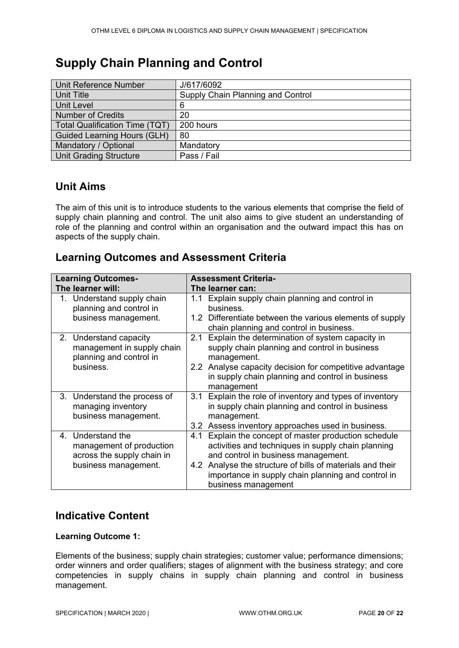# <span id="page-19-0"></span>**Supply Chain Planning and Control**

| Unit Reference Number                 | J/617/6092                        |
|---------------------------------------|-----------------------------------|
| Unit Title                            | Supply Chain Planning and Control |
| Unit Level                            | 6                                 |
| Number of Credits                     | 20                                |
| <b>Total Qualification Time (TQT)</b> | 200 hours                         |
| <b>Guided Learning Hours (GLH)</b>    | 80                                |
| Mandatory / Optional                  | Mandatory                         |
| <b>Unit Grading Structure</b>         | Pass / Fail                       |

## **Unit Aims**

The aim of this unit is to introduce students to the various elements that comprise the field of supply chain planning and control. The unit also aims to give student an understanding of role of the planning and control within an organisation and the outward impact this has on aspects of the supply chain.

### **Learning Outcomes and Assessment Criteria**

| <b>Learning Outcomes-</b> |                              | <b>Assessment Criteria-</b> |                                                           |  |
|---------------------------|------------------------------|-----------------------------|-----------------------------------------------------------|--|
|                           | The learner will:            |                             | The learner can:                                          |  |
|                           | 1. Understand supply chain   | 1.1                         | Explain supply chain planning and control in              |  |
|                           | planning and control in      |                             | business.                                                 |  |
|                           | business management.         |                             | 1.2 Differentiate between the various elements of supply  |  |
|                           |                              |                             | chain planning and control in business.                   |  |
|                           | 2. Understand capacity       | 2.1                         | Explain the determination of system capacity in           |  |
|                           | management in supply chain   |                             | supply chain planning and control in business             |  |
|                           | planning and control in      |                             | management.                                               |  |
|                           | business.                    |                             | 2.2 Analyse capacity decision for competitive advantage   |  |
|                           |                              |                             | in supply chain planning and control in business          |  |
|                           |                              |                             | management                                                |  |
|                           | 3. Understand the process of | 3.1                         | Explain the role of inventory and types of inventory      |  |
|                           | managing inventory           |                             | in supply chain planning and control in business          |  |
|                           | business management.         |                             | management.                                               |  |
|                           |                              |                             | 3.2 Assess inventory approaches used in business.         |  |
|                           | 4. Understand the            | 4.1                         | Explain the concept of master production schedule         |  |
|                           | management of production     |                             | activities and techniques in supply chain planning        |  |
|                           | across the supply chain in   |                             | and control in business management.                       |  |
|                           | business management.         |                             | 4.2 Analyse the structure of bills of materials and their |  |
|                           |                              |                             | importance in supply chain planning and control in        |  |
|                           |                              |                             | business management                                       |  |

### **Indicative Content**

#### **Learning Outcome 1:**

Elements of the business; supply chain strategies; customer value; performance dimensions; order winners and order qualifiers; stages of alignment with the business strategy; and core competencies in supply chains in supply chain planning and control in business management.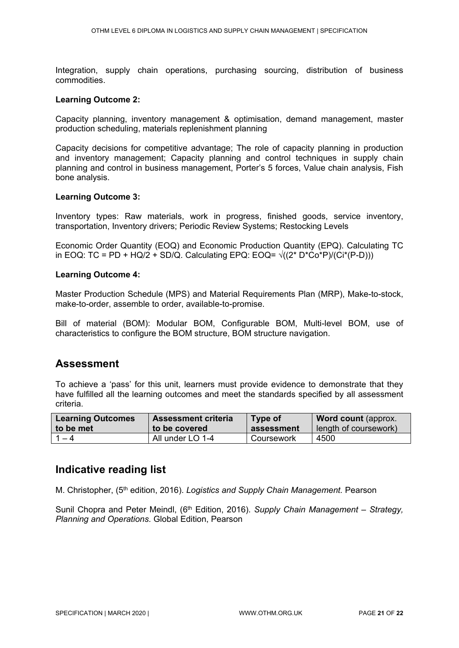Integration, supply chain operations, purchasing sourcing, distribution of business commodities.

#### **Learning Outcome 2:**

Capacity planning, inventory management & optimisation, demand management, master production scheduling, materials replenishment planning

Capacity decisions for competitive advantage; The role of capacity planning in production and inventory management; Capacity planning and control techniques in supply chain planning and control in business management, Porter's 5 forces, Value chain analysis, Fish bone analysis.

#### **Learning Outcome 3:**

Inventory types: Raw materials, work in progress, finished goods, service inventory, transportation, Inventory drivers; Periodic Review Systems; Restocking Levels

Economic Order Quantity (EOQ) and Economic Production Quantity (EPQ). Calculating TC in EOQ: TC = PD + HQ/2 + SD/Q. Calculating EPQ: EOQ=  $\sqrt{(2^* D^* C_0^* P)}$  (Ci<sup>\*</sup>(P-D)))

#### **Learning Outcome 4:**

Master Production Schedule (MPS) and Material Requirements Plan (MRP), Make-to-stock, make-to-order, assemble to order, available-to-promise.

Bill of material (BOM): Modular BOM, Configurable BOM, Multi-level BOM, use of characteristics to configure the BOM structure, BOM structure navigation.

### **Assessment**

To achieve a 'pass' for this unit, learners must provide evidence to demonstrate that they have fulfilled all the learning outcomes and meet the standards specified by all assessment criteria.

| <b>Learning Outcomes</b> | <b>Assessment criteria</b> | Type of    | <b>Word count (approx.</b> |
|--------------------------|----------------------------|------------|----------------------------|
| to be met                | to be covered              | assessment | length of coursework)      |
| $1 - 4$                  | All under LO 1-4           | Coursework | 4500                       |

### **Indicative reading list**

M. Christopher, (5th edition, 2016). *Logistics and Supply Chain Management.* Pearson

Sunil Chopra and Peter Meindl, (6th Edition, 2016). *Supply Chain Management – Strategy, Planning and Operations.* Global Edition, Pearson